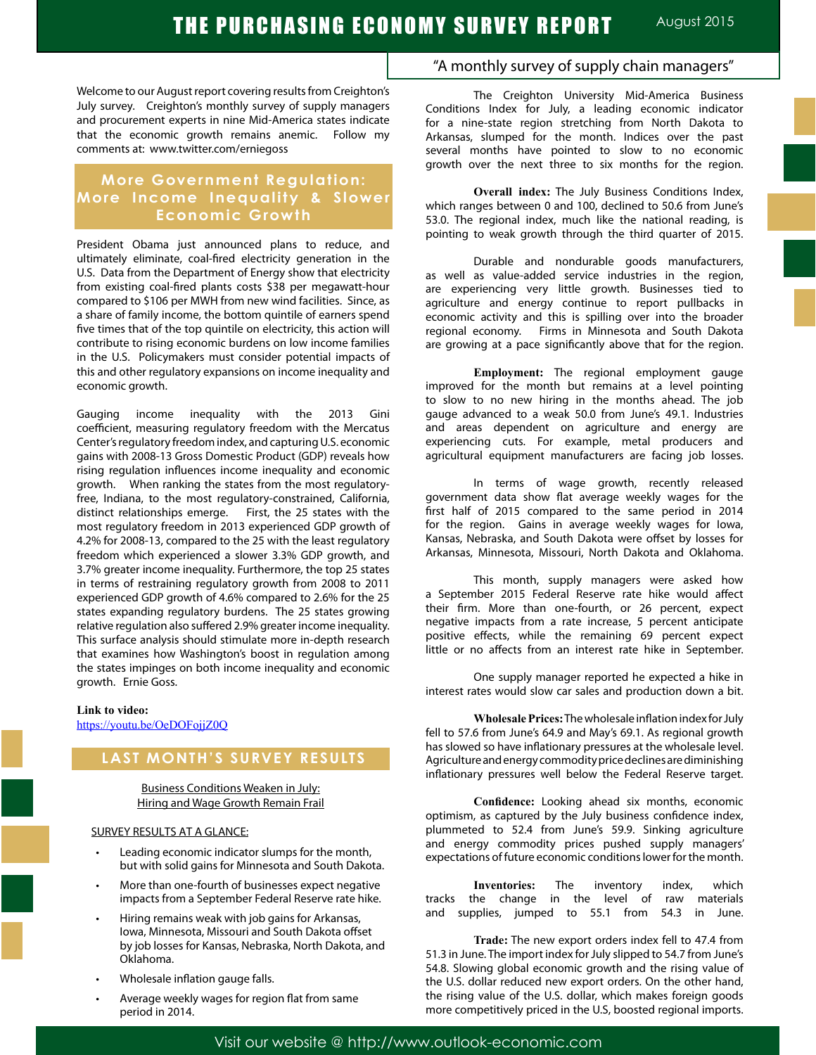Welcome to our August report covering results from Creighton's July survey. Creighton's monthly survey of supply managers and procurement experts in nine Mid-America states indicate that the economic growth remains anemic. Follow my comments at: www.twitter.com/erniegoss

## **More Government Regulation: More Income Inequality & Slower Economic Growth**

President Obama just announced plans to reduce, and ultimately eliminate, coal-fired electricity generation in the U.S. Data from the Department of Energy show that electricity from existing coal-fired plants costs \$38 per megawatt-hour compared to \$106 per MWH from new wind facilities. Since, as a share of family income, the bottom quintile of earners spend five times that of the top quintile on electricity, this action will contribute to rising economic burdens on low income families in the U.S. Policymakers must consider potential impacts of this and other regulatory expansions on income inequality and economic growth.

Gauging income inequality with the 2013 Gini coefficient, measuring regulatory freedom with the Mercatus Center's regulatory freedom index, and capturing U.S. economic gains with 2008-13 Gross Domestic Product (GDP) reveals how rising regulation influences income inequality and economic growth. When ranking the states from the most regulatoryfree, Indiana, to the most regulatory-constrained, California, distinct relationships emerge. First, the 25 states with the most regulatory freedom in 2013 experienced GDP growth of 4.2% for 2008-13, compared to the 25 with the least regulatory freedom which experienced a slower 3.3% GDP growth, and 3.7% greater income inequality. Furthermore, the top 25 states in terms of restraining regulatory growth from 2008 to 2011 experienced GDP growth of 4.6% compared to 2.6% for the 25 states expanding regulatory burdens. The 25 states growing relative regulation also suffered 2.9% greater income inequality. This surface analysis should stimulate more in-depth research that examines how Washington's boost in regulation among the states impinges on both income inequality and economic growth. Ernie Goss.

#### **Link to video:**

https://youtu.be/OeDOFojjZ0Q

# **LAST MONTH'S SURVEY RESULTS**

Business Conditions Weaken in July: Hiring and Wage Growth Remain Frail

### SURVEY RESULTS AT A GLANCE:

- Leading economic indicator slumps for the month, but with solid gains for Minnesota and South Dakota.
- More than one-fourth of businesses expect negative impacts from a September Federal Reserve rate hike.
- Hiring remains weak with job gains for Arkansas, Iowa, Minnesota, Missouri and South Dakota offset by job losses for Kansas, Nebraska, North Dakota, and Oklahoma.
- Wholesale inflation gauge falls.
- Average weekly wages for region flat from same period in 2014.

## "A monthly survey of supply chain managers"

The Creighton University Mid-America Business Conditions Index for July, a leading economic indicator for a nine-state region stretching from North Dakota to Arkansas, slumped for the month. Indices over the past several months have pointed to slow to no economic growth over the next three to six months for the region.

**Overall index:** The July Business Conditions Index, which ranges between 0 and 100, declined to 50.6 from June's 53.0. The regional index, much like the national reading, is pointing to weak growth through the third quarter of 2015.

Durable and nondurable goods manufacturers, as well as value-added service industries in the region, are experiencing very little growth. Businesses tied to agriculture and energy continue to report pullbacks in economic activity and this is spilling over into the broader regional economy. Firms in Minnesota and South Dakota are growing at a pace significantly above that for the region.

**Employment:** The regional employment gauge improved for the month but remains at a level pointing to slow to no new hiring in the months ahead. The job gauge advanced to a weak 50.0 from June's 49.1. Industries and areas dependent on agriculture and energy are experiencing cuts. For example, metal producers and agricultural equipment manufacturers are facing job losses.

In terms of wage growth, recently released government data show flat average weekly wages for the first half of 2015 compared to the same period in 2014 for the region. Gains in average weekly wages for Iowa, Kansas, Nebraska, and South Dakota were offset by losses for Arkansas, Minnesota, Missouri, North Dakota and Oklahoma.

This month, supply managers were asked how a September 2015 Federal Reserve rate hike would affect their firm. More than one-fourth, or 26 percent, expect negative impacts from a rate increase, 5 percent anticipate positive effects, while the remaining 69 percent expect little or no affects from an interest rate hike in September.

One supply manager reported he expected a hike in interest rates would slow car sales and production down a bit.

**Wholesale Prices:** The wholesale inflation index for July fell to 57.6 from June's 64.9 and May's 69.1. As regional growth has slowed so have inflationary pressures at the wholesale level. Agriculture and energy commodity price declines are diminishing inflationary pressures well below the Federal Reserve target.

**Confidence:** Looking ahead six months, economic optimism, as captured by the July business confidence index, plummeted to 52.4 from June's 59.9. Sinking agriculture and energy commodity prices pushed supply managers' expectations of future economic conditions lower for the month.

**Inventories:** The inventory index, which tracks the change in the level of raw materials and supplies, jumped to 55.1 from 54.3 in June.

**Trade:** The new export orders index fell to 47.4 from 51.3 in June. The import index for July slipped to 54.7 from June's 54.8. Slowing global economic growth and the rising value of the U.S. dollar reduced new export orders. On the other hand, the rising value of the U.S. dollar, which makes foreign goods more competitively priced in the U.S, boosted regional imports.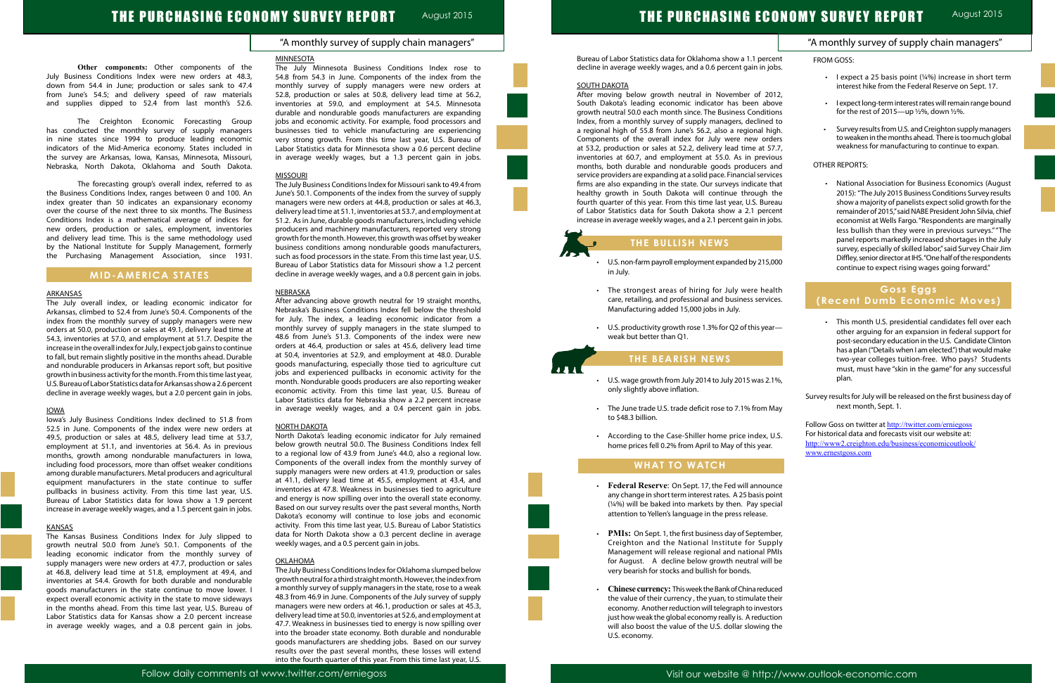## "A monthly survey of supply chain managers"

#### **MINNESOTA**

**Other components:** Other components of the July Business Conditions Index were new orders at 48.3, down from 54.4 in June; production or sales sank to 47.4 from June's 54.5; and delivery speed of raw materials and supplies dipped to 52.4 from last month's 52.6.

The Creighton Economic Forecasting Group has conducted the monthly survey of supply managers in nine states since 1994 to produce leading economic indicators of the Mid-America economy. States included in the survey are Arkansas, Iowa, Kansas, Minnesota, Missouri, Nebraska, North Dakota, Oklahoma and South Dakota.

The forecasting group's overall index, referred to as the Business Conditions Index, ranges between 0 and 100. An index greater than 50 indicates an expansionary economy over the course of the next three to six months. The Business Conditions Index is a mathematical average of indices for new orders, production or sales, employment, inventories and delivery lead time. This is the same methodology used by the National Institute for Supply Management, formerly the Purchasing Management Association, since 1931.

## **MID-AMERICA STATES**

### ARKANSAS

The July overall index, or leading economic indicator for Arkansas, climbed to 52.4 from June's 50.4. Components of the index from the monthly survey of supply managers were new orders at 50.0, production or sales at 49.1, delivery lead time at 54.3, inventories at 57.0, and employment at 51.7. Despite the increase in the overall index for July, I expect job gains to continue to fall, but remain slightly positive in the months ahead. Durable and nondurable producers in Arkansas report soft, but positive growth in business activity for the month. From this time last year, U.S. Bureau of Labor Statistics data for Arkansas show a 2.6 percent decline in average weekly wages, but a 2.0 percent gain in jobs.

## IOWA

Iowa's July Business Conditions Index declined to 51.8 from 52.5 in June. Components of the index were new orders at 49.5, production or sales at 48.5, delivery lead time at 53.7, employment at 51.1, and inventories at 56.4. As in previous months, growth among nondurable manufacturers in Iowa, including food processors, more than offset weaker conditions among durable manufacturers. Metal producers and agricultural equipment manufacturers in the state continue to suffer pullbacks in business activity. From this time last year, U.S. Bureau of Labor Statistics data for Iowa show a 1.9 percent increase in average weekly wages, and a 1.5 percent gain in jobs.

## **KANSAS**

The Kansas Business Conditions Index for July slipped to growth neutral 50.0 from June's 50.1. Components of the leading economic indicator from the monthly survey of supply managers were new orders at 47.7, production or sales at 46.8, delivery lead time at 51.8, employment at 49.4, and inventories at 54.4. Growth for both durable and nondurable goods manufacturers in the state continue to move lower. I expect overall economic activity in the state to move sideways in the months ahead. From this time last year, U.S. Bureau of Labor Statistics data for Kansas show a 2.0 percent increase in average weekly wages, and a 0.8 percent gain in jobs.

The July Minnesota Business Conditions Index rose to 54.8 from 54.3 in June. Components of the index from the monthly survey of supply managers were new orders at 52.8, production or sales at 50.8, delivery lead time at 56.2, inventories at 59.0, and employment at 54.5. Minnesota durable and nondurable goods manufacturers are expanding jobs and economic activity. For example, food processors and businesses tied to vehicle manufacturing are experiencing very strong growth. From this time last year, U.S. Bureau of Labor Statistics data for Minnesota show a 0.6 percent decline in average weekly wages, but a 1.3 percent gain in jobs.

## **MISSOURI**

- U.S. non-farm payroll employment expanded by 215, in July.
- The strongest areas of hiring for July were hea care, retailing, and professional and business servic Manufacturing added 15,000 jobs in July.
- U.S. productivity growth rose 1.3% for Q2 of this yea weak but better than Q1.

- U.S. wage growth from July 2014 to July 2015 was 2.1 only slightly above inflation.
- The June trade U.S. trade deficit rose to 7.1% from M to \$48.3 billion.
- According to the Case-Shiller home price index, home prices fell 0.2% from April to May of this year.

The July Business Conditions Index for Missouri sank to 49.4 from June's 50.1. Components of the index from the survey of supply managers were new orders at 44.8, production or sales at 46.3, delivery lead time at 51.1, inventories at 53.7, and employment at 51.2. As in June, durable goods manufacturers, including vehicle producers and machinery manufacturers, reported very strong growth for the month. However, this growth was offset by weaker business conditions among nondurable goods manufacturers, such as food processors in the state. From this time last year, U.S. Bureau of Labor Statistics data for Missouri show a 1.2 percent decline in average weekly wages, and a 0.8 percent gain in jobs.

- Federal Reserve: On Sept. 17, the Fed will announ any change in short term interest rates. A 25 basis po  $(1/4%)$  will be baked into markets by then. Pay spect attention to Yellen's language in the press release.
- **PMIs:** On Sept. 1, the first business day of Septem Creighton and the National Institute for Supp Management will release regional and national PI for August. A decline below growth neutral will very bearish for stocks and bullish for bonds.
- **Chinese currency:** This week the Bank of China reduc the value of their currency, the yuan, to stimulate the economy. Another reduction will telegraph to invest just how weak the global economy really is. A reduction will also boost the value of the U.S. dollar slowing the U.S. economy.

### NEBRASKA

After advancing above growth neutral for 19 straight months, Nebraska's Business Conditions Index fell below the threshold for July. The index, a leading economic indicator from a monthly survey of supply managers in the state slumped to 48.6 from June's 51.3. Components of the index were new orders at 46.4, production or sales at 45.6, delivery lead time at 50.4, inventories at 52.9, and employment at 48.0. Durable goods manufacturing, especially those tied to agriculture cut jobs and experienced pullbacks in economic activity for the month. Nondurable goods producers are also reporting weaker economic activity. From this time last year, U.S. Bureau of Labor Statistics data for Nebraska show a 2.2 percent increase in average weekly wages, and a 0.4 percent gain in jobs.

## NORTH DAKOTA

|                                                                                                                                                                                                                                                                                                                                                                                                                | "A monthly survey of supply chain managers"                                                                                                                                                                                                                                                                                                                  |
|----------------------------------------------------------------------------------------------------------------------------------------------------------------------------------------------------------------------------------------------------------------------------------------------------------------------------------------------------------------------------------------------------------------|--------------------------------------------------------------------------------------------------------------------------------------------------------------------------------------------------------------------------------------------------------------------------------------------------------------------------------------------------------------|
| Bureau of Labor Statistics data for Oklahoma show a 1.1 percent<br>decline in average weekly wages, and a 0.6 percent gain in jobs.                                                                                                                                                                                                                                                                            | FROM GOSS:                                                                                                                                                                                                                                                                                                                                                   |
| <b>SOUTH DAKOTA</b>                                                                                                                                                                                                                                                                                                                                                                                            | I expect a 25 basis point (1/4%) increase in short term<br>interest hike from the Federal Reserve on Sept. 17.                                                                                                                                                                                                                                               |
| After moving below growth neutral in November of 2012,<br>South Dakota's leading economic indicator has been above<br>growth neutral 50.0 each month since. The Business Conditions                                                                                                                                                                                                                            | I expect long-term interest rates will remain range bound<br>for the rest of 2015-up 1/2%, down 1/2%.                                                                                                                                                                                                                                                        |
| Index, from a monthly survey of supply managers, declined to<br>a regional high of 55.8 from June's 56.2, also a regional high.<br>Components of the overall index for July were new orders<br>at 53.2, production or sales at 52.2, delivery lead time at 57.7,                                                                                                                                               | Survey results from U.S. and Creighton supply managers<br>to weaken in the months ahead. There is too much global<br>weakness for manufacturing to continue to expan.                                                                                                                                                                                        |
| inventories at 60.7, and employment at 55.0. As in previous<br>months, both durable and nondurable goods producers and                                                                                                                                                                                                                                                                                         | <b>OTHER REPORTS:</b>                                                                                                                                                                                                                                                                                                                                        |
| service providers are expanding at a solid pace. Financial services<br>firms are also expanding in the state. Our surveys indicate that<br>healthy growth in South Dakota will continue through the<br>fourth quarter of this year. From this time last year, U.S. Bureau<br>of Labor Statistics data for South Dakota show a 2.1 percent<br>increase in average weekly wages, and a 2.1 percent gain in jobs. | National Association for Business Economics (August<br>2015): "The July 2015 Business Conditions Survey results<br>show a majority of panelists expect solid growth for the<br>remainder of 2015," said NABE President John Silvia, chief<br>economist at Wells Fargo. "Respondents are marginally<br>less bullish than they were in previous surveys." "The |
| THE BULLISH NEWS                                                                                                                                                                                                                                                                                                                                                                                               | panel reports markedly increased shortages in the July<br>survey, especially of skilled labor," said Survey Chair Jim                                                                                                                                                                                                                                        |
| U.S. non-farm payroll employment expanded by 215,000<br>in July.                                                                                                                                                                                                                                                                                                                                               | Diffley, senior director at IHS. "One half of the respondents<br>continue to expect rising wages going forward."                                                                                                                                                                                                                                             |
| The strongest areas of hiring for July were health<br>$\bullet$                                                                                                                                                                                                                                                                                                                                                | <b>Goss Eggs</b>                                                                                                                                                                                                                                                                                                                                             |
| care, retailing, and professional and business services.<br>Manufacturing added 15,000 jobs in July.                                                                                                                                                                                                                                                                                                           | (Recent Dumb Economic Moves)                                                                                                                                                                                                                                                                                                                                 |
| U.S. productivity growth rose 1.3% for Q2 of this year-<br>weak but better than Q1.                                                                                                                                                                                                                                                                                                                            | This month U.S. presidential candidates fell over each<br>other arguing for an expansion in federal support for<br>post-secondary education in the U.S. Candidate Clinton<br>has a plan ("Details when I am elected.") that would make                                                                                                                       |
| THE BEARISH NEWS                                                                                                                                                                                                                                                                                                                                                                                               | two-year colleges tuition-free. Who pays? Students<br>must, must have "skin in the game" for any successful                                                                                                                                                                                                                                                  |
| U.S. wage growth from July 2014 to July 2015 was 2.1%,<br>۰<br>only slightly above inflation.                                                                                                                                                                                                                                                                                                                  | plan.                                                                                                                                                                                                                                                                                                                                                        |
| The June trade U.S. trade deficit rose to 7.1% from May<br>to \$48.3 billion.                                                                                                                                                                                                                                                                                                                                  | Survey results for July will be released on the first business day of<br>next month, Sept. 1.<br>Follow Goss on twitter at http://twitter.com/erniegoss                                                                                                                                                                                                      |
| According to the Case-Shiller home price index, U.S.<br>home prices fell 0.2% from April to May of this year.                                                                                                                                                                                                                                                                                                  | For historical data and forecasts visit our website at:<br>http://www2.creighton.edu/business/economicoutlook/<br>www.ernestgoss.com                                                                                                                                                                                                                         |
| <b>WHAT TO WATCH</b>                                                                                                                                                                                                                                                                                                                                                                                           |                                                                                                                                                                                                                                                                                                                                                              |
| Federal Reserve: On Sept. 17, the Fed will announce<br>$\bullet$<br>any change in short term interest rates. A 25 basis point<br>(1/4%) will be baked into markets by then. Pay special<br>attention to Yellen's language in the press release.                                                                                                                                                                |                                                                                                                                                                                                                                                                                                                                                              |
| PMIs: On Sept. 1, the first business day of September,<br>$\bullet$<br>Creighton and the National Institute for Supply<br>Management will release regional and national PMIs<br>for August. A decline below growth neutral will be<br>very bearish for stocks and bullish for bonds.                                                                                                                           |                                                                                                                                                                                                                                                                                                                                                              |
| Chinese currency: This week the Bank of China reduced<br>$\bullet$<br>the value of their currency, the yuan, to stimulate their<br>economy. Another reduction will telegraph to investors<br>just how weak the global economy really is. A reduction<br>will also boost the value of the U.S. dollar slowing the                                                                                               |                                                                                                                                                                                                                                                                                                                                                              |

North Dakota's leading economic indicator for July remained below growth neutral 50.0. The Business Conditions Index fell to a regional low of 43.9 from June's 44.0, also a regional low. Components of the overall index from the monthly survey of supply managers were new orders at 41.9, production or sales at 41.1, delivery lead time at 45.5, employment at 43.4, and inventories at 47.8. Weakness in businesses tied to agriculture and energy is now spilling over into the overall state economy. Based on our survey results over the past several months, North Dakota's economy will continue to lose jobs and economic activity. From this time last year, U.S. Bureau of Labor Statistics data for North Dakota show a 0.3 percent decline in average weekly wages, and a 0.5 percent gain in jobs.

## OKLAHOMA

The July Business Conditions Index for Oklahoma slumped below growth neutral for a third straight month. However, the index from a monthly survey of supply managers in the state, rose to a weak 48.3 from 46.9 in June. Components of the July survey of supply managers were new orders at 46.1, production or sales at 45.3, delivery lead time at 50.0, inventories at 52.6, and employment at 47.7. Weakness in businesses tied to energy is now spilling over into the broader state economy. Both durable and nondurable goods manufacturers are shedding jobs. Based on our survey results over the past several months, these losses will extend into the fourth quarter of this year. From this time last year, U.S.



# **THE BULLISH NEWS**

## **THE BEARISH NEWS**

# **WHAT TO WATCH**